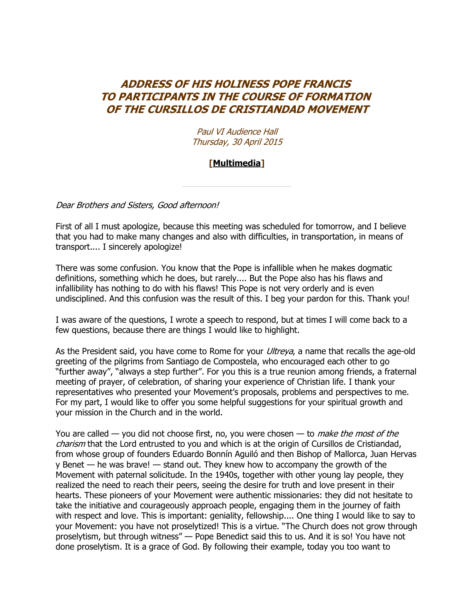## **ADDRESS OF HIS HOLINESS POPE FRANCIS TO PARTICIPANTS IN THE COURSE OF FORMATION OF THE CURSILLOS DE CRISTIANDAD MOVEMENT**

Paul VI Audience Hall Thursday, 30 April 2015

## **[\[Multimedia\]](http://w2.vatican.va/content/francesco/en/events/event.dir.html/content/vaticanevents/en/2015/4/30/cursilloscristianita.html)**

Dear Brothers and Sisters, Good afternoon!

First of all I must apologize, because this meeting was scheduled for tomorrow, and I believe that you had to make many changes and also with difficulties, in transportation, in means of transport.... I sincerely apologize!

There was some confusion. You know that the Pope is infallible when he makes dogmatic definitions, something which he does, but rarely.... But the Pope also has his flaws and infallibility has nothing to do with his flaws! This Pope is not very orderly and is even undisciplined. And this confusion was the result of this. I beg your pardon for this. Thank you!

I was aware of the questions, I wrote a speech to respond, but at times I will come back to a few questions, because there are things I would like to highlight.

As the President said, you have come to Rome for your *Ultreya*, a name that recalls the age-old greeting of the pilgrims from Santiago de Compostela, who encouraged each other to go "further away", "always a step further". For you this is a true reunion among friends, a fraternal meeting of prayer, of celebration, of sharing your experience of Christian life. I thank your representatives who presented your Movement's proposals, problems and perspectives to me. For my part, I would like to offer you some helpful suggestions for your spiritual growth and your mission in the Church and in the world.

You are called — you did not choose first, no, you were chosen — to *make the most of the* charism that the Lord entrusted to you and which is at the origin of Cursillos de Cristiandad, from whose group of founders Eduardo Bonnín Aguiló and then Bishop of Mallorca, Juan Hervas y Benet — he was brave! — stand out. They knew how to accompany the growth of the Movement with paternal solicitude. In the 1940s, together with other young lay people, they realized the need to reach their peers, seeing the desire for truth and love present in their hearts. These pioneers of your Movement were authentic missionaries: they did not hesitate to take the initiative and courageously approach people, engaging them in the journey of faith with respect and love. This is important: geniality, fellowship.... One thing I would like to say to your Movement: you have not proselytized! This is a virtue. "The Church does not grow through proselytism, but through witness" — Pope Benedict said this to us. And it is so! You have not done proselytism. It is a grace of God. By following their example, today you too want to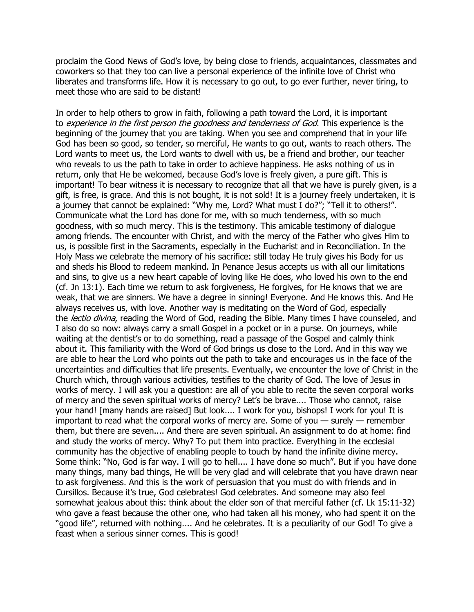proclaim the Good News of God's love, by being close to friends, acquaintances, classmates and coworkers so that they too can live a personal experience of the infinite love of Christ who liberates and transforms life. How it is necessary to go out, to go ever further, never tiring, to meet those who are said to be distant!

In order to help others to grow in faith, following a path toward the Lord, it is important to experience in the first person the goodness and tenderness of God. This experience is the beginning of the journey that you are taking. When you see and comprehend that in your life God has been so good, so tender, so merciful, He wants to go out, wants to reach others. The Lord wants to meet us, the Lord wants to dwell with us, be a friend and brother, our teacher who reveals to us the path to take in order to achieve happiness. He asks nothing of us in return, only that He be welcomed, because God's love is freely given, a pure gift. This is important! To bear witness it is necessary to recognize that all that we have is purely given, is a gift, is free, is grace. And this is not bought, it is not sold! It is a journey freely undertaken, it is a journey that cannot be explained: "Why me, Lord? What must I do?"; "Tell it to others!". Communicate what the Lord has done for me, with so much tenderness, with so much goodness, with so much mercy. This is the testimony. This amicable testimony of dialogue among friends. The encounter with Christ, and with the mercy of the Father who gives Him to us, is possible first in the Sacraments, especially in the Eucharist and in Reconciliation. In the Holy Mass we celebrate the memory of his sacrifice: still today He truly gives his Body for us and sheds his Blood to redeem mankind. In Penance Jesus accepts us with all our limitations and sins, to give us a new heart capable of loving like He does, who loved his own to the end (cf. Jn 13:1). Each time we return to ask forgiveness, He forgives, for He knows that we are weak, that we are sinners. We have a degree in sinning! Everyone. And He knows this. And He always receives us, with love. Another way is meditating on the Word of God, especially the *lectio divina*, reading the Word of God, reading the Bible. Many times I have counseled, and I also do so now: always carry a small Gospel in a pocket or in a purse. On journeys, while waiting at the dentist's or to do something, read a passage of the Gospel and calmly think about it. This familiarity with the Word of God brings us close to the Lord. And in this way we are able to hear the Lord who points out the path to take and encourages us in the face of the uncertainties and difficulties that life presents. Eventually, we encounter the love of Christ in the Church which, through various activities, testifies to the charity of God. The love of Jesus in works of mercy. I will ask you a question: are all of you able to recite the seven corporal works of mercy and the seven spiritual works of mercy? Let's be brave.... Those who cannot, raise your hand! [many hands are raised] But look.... I work for you, bishops! I work for you! It is important to read what the corporal works of mercy are. Some of you  $-$  surely  $-$  remember them, but there are seven.... And there are seven spiritual. An assignment to do at home: find and study the works of mercy. Why? To put them into practice. Everything in the ecclesial community has the objective of enabling people to touch by hand the infinite divine mercy. Some think: "No, God is far way. I will go to hell.... I have done so much". But if you have done many things, many bad things, He will be very glad and will celebrate that you have drawn near to ask forgiveness. And this is the work of persuasion that you must do with friends and in Cursillos. Because it's true, God celebrates! God celebrates. And someone may also feel somewhat jealous about this: think about the elder son of that merciful father (cf. Lk 15:11-32) who gave a feast because the other one, who had taken all his money, who had spent it on the "good life", returned with nothing.... And he celebrates. It is a peculiarity of our God! To give a feast when a serious sinner comes. This is good!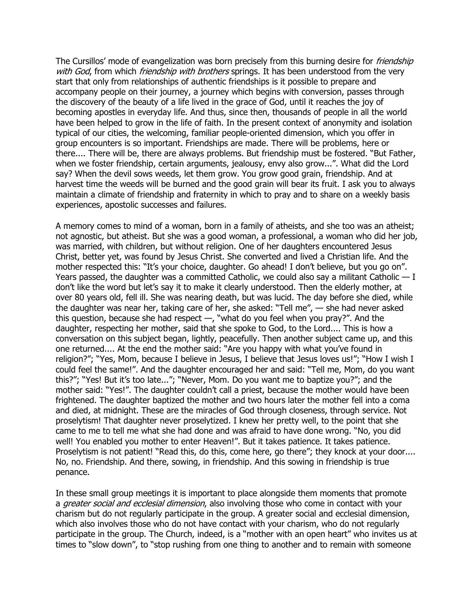The Cursillos' mode of evangelization was born precisely from this burning desire for *friendship* with God, from which *friendship with brothers* springs. It has been understood from the very start that only from relationships of authentic friendships is it possible to prepare and accompany people on their journey, a journey which begins with conversion, passes through the discovery of the beauty of a life lived in the grace of God, until it reaches the joy of becoming apostles in everyday life. And thus, since then, thousands of people in all the world have been helped to grow in the life of faith. In the present context of anonymity and isolation typical of our cities, the welcoming, familiar people-oriented dimension, which you offer in group encounters is so important. Friendships are made. There will be problems, here or there.... There will be, there are always problems. But friendship must be fostered. "But Father, when we foster friendship, certain arguments, jealousy, envy also grow...". What did the Lord say? When the devil sows weeds, let them grow. You grow good grain, friendship. And at harvest time the weeds will be burned and the good grain will bear its fruit. I ask you to always maintain a climate of friendship and fraternity in which to pray and to share on a weekly basis experiences, apostolic successes and failures.

A memory comes to mind of a woman, born in a family of atheists, and she too was an atheist; not agnostic, but atheist. But she was a good woman, a professional, a woman who did her job, was married, with children, but without religion. One of her daughters encountered Jesus Christ, better yet, was found by Jesus Christ. She converted and lived a Christian life. And the mother respected this: "It's your choice, daughter. Go ahead! I don't believe, but you go on". Years passed, the daughter was a committed Catholic, we could also say a militant Catholic  $-1$ don't like the word but let's say it to make it clearly understood. Then the elderly mother, at over 80 years old, fell ill. She was nearing death, but was lucid. The day before she died, while the daughter was near her, taking care of her, she asked: "Tell me", — she had never asked this question, because she had respect —, "what do you feel when you pray?". And the daughter, respecting her mother, said that she spoke to God, to the Lord.... This is how a conversation on this subject began, lightly, peacefully. Then another subject came up, and this one returned.... At the end the mother said: "Are you happy with what you've found in religion?"; "Yes, Mom, because I believe in Jesus, I believe that Jesus loves us!"; "How I wish I could feel the same!". And the daughter encouraged her and said: "Tell me, Mom, do you want this?"; "Yes! But it's too late..."; "Never, Mom. Do you want me to baptize you?"; and the mother said: "Yes!". The daughter couldn't call a priest, because the mother would have been frightened. The daughter baptized the mother and two hours later the mother fell into a coma and died, at midnight. These are the miracles of God through closeness, through service. Not proselytism! That daughter never proselytized. I knew her pretty well, to the point that she came to me to tell me what she had done and was afraid to have done wrong. "No, you did well! You enabled you mother to enter Heaven!". But it takes patience. It takes patience. Proselytism is not patient! "Read this, do this, come here, go there"; they knock at your door.... No, no. Friendship. And there, sowing, in friendship. And this sowing in friendship is true penance.

In these small group meetings it is important to place alongside them moments that promote a *greater social and ecclesial dimension*, also involving those who come in contact with your charism but do not regularly participate in the group. A greater social and ecclesial dimension, which also involves those who do not have contact with your charism, who do not regularly participate in the group. The Church, indeed, is a "mother with an open heart" who invites us at times to "slow down", to "stop rushing from one thing to another and to remain with someone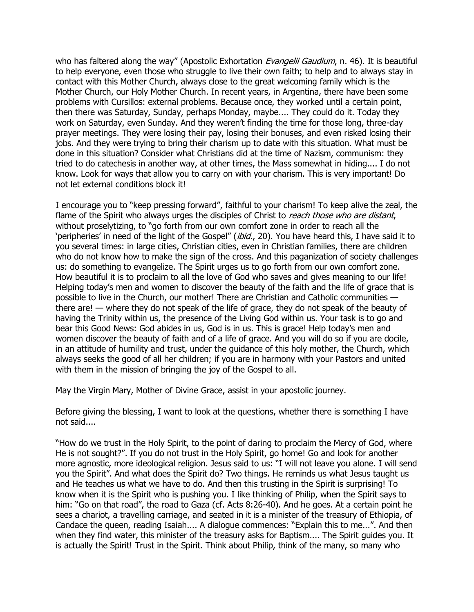who has faltered along the way" (Apostolic Exhortation *[Evangelii Gaudium](http://w2.vatican.va/content/francesco/en/apost_exhortations/documents/papa-francesco_esortazione-ap_20131124_evangelii-gaudium.html)*, n. 46). It is beautiful to help everyone, even those who struggle to live their own faith; to help and to always stay in contact with this Mother Church, always close to the great welcoming family which is the Mother Church, our Holy Mother Church. In recent years, in Argentina, there have been some problems with Cursillos: external problems. Because once, they worked until a certain point, then there was Saturday, Sunday, perhaps Monday, maybe.... They could do it. Today they work on Saturday, even Sunday. And they weren't finding the time for those long, three-day prayer meetings. They were losing their pay, losing their bonuses, and even risked losing their jobs. And they were trying to bring their charism up to date with this situation. What must be done in this situation? Consider what Christians did at the time of Nazism, communism: they tried to do catechesis in another way, at other times, the Mass somewhat in hiding.... I do not know. Look for ways that allow you to carry on with your charism. This is very important! Do not let external conditions block it!

I encourage you to "keep pressing forward", faithful to your charism! To keep alive the zeal, the flame of the Spirit who always urges the disciples of Christ to *reach those who are distant*, without proselytizing, to "go forth from our own comfort zone in order to reach all the 'peripheries' in need of the light of the Gospel" (ibid., 20). You have heard this, I have said it to you several times: in large cities, Christian cities, even in Christian families, there are children who do not know how to make the sign of the cross. And this paganization of society challenges us: do something to evangelize. The Spirit urges us to go forth from our own comfort zone. How beautiful it is to proclaim to all the love of God who saves and gives meaning to our life! Helping today's men and women to discover the beauty of the faith and the life of grace that is possible to live in the Church, our mother! There are Christian and Catholic communities there are! — where they do not speak of the life of grace, they do not speak of the beauty of having the Trinity within us, the presence of the Living God within us. Your task is to go and bear this Good News: God abides in us, God is in us. This is grace! Help today's men and women discover the beauty of faith and of a life of grace. And you will do so if you are docile, in an attitude of humility and trust, under the guidance of this holy mother, the Church, which always seeks the good of all her children; if you are in harmony with your Pastors and united with them in the mission of bringing the joy of the Gospel to all.

May the Virgin Mary, Mother of Divine Grace, assist in your apostolic journey.

Before giving the blessing, I want to look at the questions, whether there is something I have not said....

"How do we trust in the Holy Spirit, to the point of daring to proclaim the Mercy of God, where He is not sought?". If you do not trust in the Holy Spirit, go home! Go and look for another more agnostic, more ideological religion. Jesus said to us: "I will not leave you alone. I will send you the Spirit". And what does the Spirit do? Two things. He reminds us what Jesus taught us and He teaches us what we have to do. And then this trusting in the Spirit is surprising! To know when it is the Spirit who is pushing you. I like thinking of Philip, when the Spirit says to him: "Go on that road", the road to Gaza (cf. Acts 8:26-40). And he goes. At a certain point he sees a chariot, a travelling carriage, and seated in it is a minister of the treasury of Ethiopia, of Candace the queen, reading Isaiah.... A dialogue commences: "Explain this to me...". And then when they find water, this minister of the treasury asks for Baptism.... The Spirit guides you. It is actually the Spirit! Trust in the Spirit. Think about Philip, think of the many, so many who